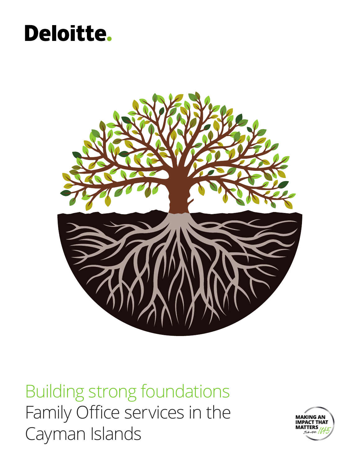## **Deloitte.**



Building strong foundations Family Office services in the Cayman Islands

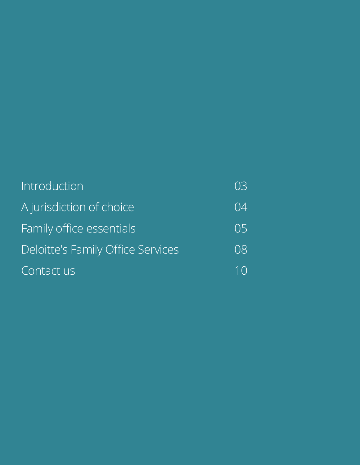| Introduction                             | 03 |
|------------------------------------------|----|
| A jurisdiction of choice                 | 04 |
| Family office essentials                 | 05 |
| <b>Deloitte's Family Office Services</b> | 08 |
| Contact us                               |    |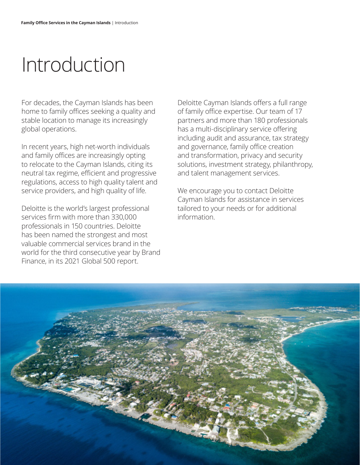# Introduction

For decades, the Cayman Islands has been home to family offices seeking a quality and stable location to manage its increasingly global operations.

In recent years, high net-worth individuals and family offices are increasingly opting to relocate to the Cayman Islands, citing its neutral tax regime, efficient and progressive regulations, access to high quality talent and service providers, and high quality of life.

Deloitte is the world's largest professional services firm with more than 330,000 professionals in 150 countries. Deloitte has been named the strongest and most valuable commercial services brand in the world for the third consecutive year by Brand Finance, in its 2021 Global 500 report.

Deloitte Cayman Islands offers a full range of family office expertise. Our team of 17 partners and more than 180 professionals has a multi-disciplinary service offering including audit and assurance, tax strategy and governance, family office creation and transformation, privacy and security solutions, investment strategy, philanthropy, and talent management services.

We encourage you to contact Deloitte Cayman Islands for assistance in services tailored to your needs or for additional information.

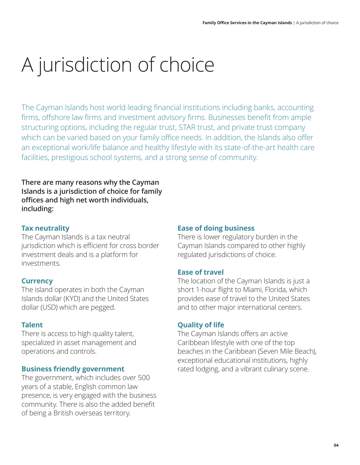# A jurisdiction of choice

The Cayman Islands host world-leading financial institutions including banks, accounting firms, offshore law firms and investment advisory firms. Businesses benefit from ample structuring options, including the regular trust, STAR trust, and private trust company which can be varied based on your family office needs. In addition, the Islands also offer an exceptional work/life balance and healthy lifestyle with its state-of-the-art health care facilities, prestigious school systems, and a strong sense of community.

**There are many reasons why the Cayman Islands is a jurisdiction of choice for family offices and high net worth individuals, including:**

#### **Tax neutrality**

The Cayman Islands is a tax neutral jurisdiction which is efficient for cross border investment deals and is a platform for investments.

#### **Currency**

The island operates in both the Cayman Islands dollar (KYD) and the United States dollar (USD) which are pegged.

#### **Talent**

There is access to high quality talent, specialized in asset management and operations and controls.

#### **Business friendly government**

The government, which includes over 500 years of a stable, English common law presence, is very engaged with the business community. There is also the added benefit of being a British overseas territory.

#### **Ease of doing business**

There is lower regulatory burden in the Cayman Islands compared to other highly regulated jurisdictions of choice.

#### **Ease of travel**

The location of the Cayman Islands is just a short 1-hour flight to Miami, Florida, which provides ease of travel to the United States and to other major international centers.

#### **Quality of life**

The Cayman Islands offers an active Caribbean lifestyle with one of the top beaches in the Caribbean (Seven Mile Beach), exceptional educational institutions, highly rated lodging, and a vibrant culinary scene.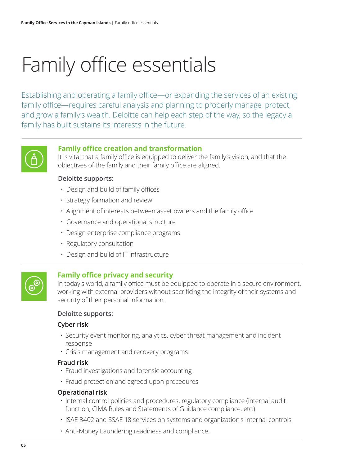# Family office essentials

Establishing and operating a family office—or expanding the services of an existing family office—requires careful analysis and planning to properly manage, protect, and grow a family's wealth. Deloitte can help each step of the way, so the legacy a family has built sustains its interests in the future.



#### **Family office creation and transformation**

It is vital that a family office is equipped to deliver the family's vision, and that the objectives of the family and their family office are aligned.

#### **Deloitte supports:**

- Design and build of family offices
- Strategy formation and review
- Alignment of interests between asset owners and the family office
- Governance and operational structure
- Design enterprise compliance programs
- Regulatory consultation
- Design and build of IT infrastructure



#### **Family office privacy and security**

In today's world, a family office must be equipped to operate in a secure environment, working with external providers without sacrificing the integrity of their systems and security of their personal information.

#### **Deloitte supports:**

#### **Cyber risk**

- Security event monitoring, analytics, cyber threat management and incident response
- Crisis management and recovery programs

#### **Fraud risk**

- Fraud investigations and forensic accounting
- Fraud protection and agreed upon procedures

#### **Operational risk**

- Internal control policies and procedures, regulatory compliance (internal audit function, CIMA Rules and Statements of Guidance compliance, etc.)
- ISAE 3402 and SSAE 18 services on systems and organization's internal controls
- Anti-Money Laundering readiness and compliance.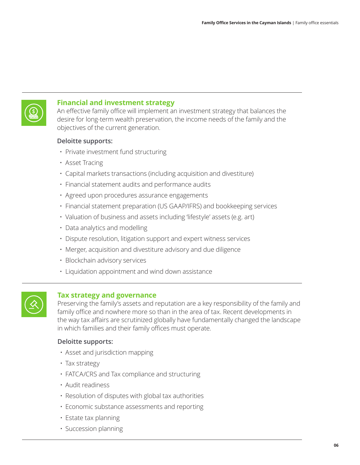

#### **Financial and investment strategy**

An effective family office will implement an investment strategy that balances the desire for long-term wealth preservation, the income needs of the family and the objectives of the current generation.

#### **Deloitte supports:**

- Private investment fund structuring
- Asset Tracing
- Capital markets transactions (including acquisition and divestiture)
- Financial statement audits and performance audits
- Agreed upon procedures assurance engagements
- Financial statement preparation (US GAAP/IFRS) and bookkeeping services
- Valuation of business and assets including 'lifestyle' assets (e.g. art)
- Data analytics and modelling
- Dispute resolution, litigation support and expert witness services
- Merger, acquisition and divestiture advisory and due diligence
- Blockchain advisory services
- Liquidation appointment and wind down assistance



#### **Tax strategy and governance**

Preserving the family's assets and reputation are a key responsibility of the family and family office and nowhere more so than in the area of tax. Recent developments in the way tax affairs are scrutinized globally have fundamentally changed the landscape in which families and their family offices must operate.

#### **Deloitte supports:**

- Asset and jurisdiction mapping
- Tax strategy
- FATCA/CRS and Tax compliance and structuring
- Audit readiness
- Resolution of disputes with global tax authorities
- Economic substance assessments and reporting
- Estate tax planning
- Succession planning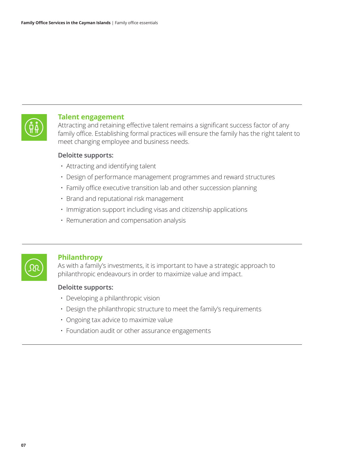

#### **Talent engagement**

Attracting and retaining effective talent remains a significant success factor of any family office. Establishing formal practices will ensure the family has the right talent to meet changing employee and business needs.

#### **Deloitte supports:**

- Attracting and identifying talent
- Design of performance management programmes and reward structures
- Family office executive transition lab and other succession planning
- Brand and reputational risk management
- Immigration support including visas and citizenship applications
- Remuneration and compensation analysis



#### **Philanthropy**

As with a family's investments, it is important to have a strategic approach to philanthropic endeavours in order to maximize value and impact.

#### **Deloitte supports:**

- Developing a philanthropic vision
- Design the philanthropic structure to meet the family's requirements
- Ongoing tax advice to maximize value
- Foundation audit or other assurance engagements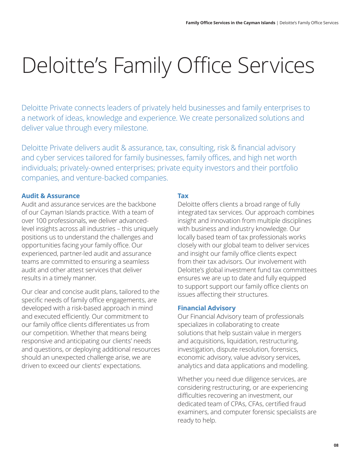# Deloitte's Family Office Services

Deloitte Private connects leaders of privately held businesses and family enterprises to a network of ideas, knowledge and experience. We create personalized solutions and deliver value through every milestone.

Deloitte Private delivers audit & assurance, tax, consulting, risk & financial advisory and cyber services tailored for family businesses, family offices, and high net worth individuals; privately-owned enterprises; private equity investors and their portfolio companies, and venture-backed companies.

#### **Audit & Assurance**

Audit and assurance services are the backbone of our Cayman Islands practice. With a team of over 100 professionals, we deliver advancedlevel insights across all industries – this uniquely positions us to understand the challenges and opportunities facing your family office. Our experienced, partner-led audit and assurance teams are committed to ensuring a seamless audit and other attest services that deliver results in a timely manner.

Our clear and concise audit plans, tailored to the specific needs of family office engagements, are developed with a risk-based approach in mind and executed efficiently. Our commitment to our family office clients differentiates us from our competition. Whether that means being responsive and anticipating our clients' needs and questions, or deploying additional resources should an unexpected challenge arise, we are driven to exceed our clients' expectations.

#### **Tax**

Deloitte offers clients a broad range of fully integrated tax services. Our approach combines insight and innovation from multiple disciplines with business and industry knowledge. Our locally based team of tax professionals works closely with our global team to deliver services and insight our family office clients expect from their tax advisors. Our involvement with Deloitte's global investment fund tax committees ensures we are up to date and fully equipped to support support our family office clients on issues affecting their structures.

#### **Financial Advisory**

Our Financial Advisory team of professionals specializes in collaborating to create solutions that help sustain value in mergers and acquisitions, liquidation, restructuring, investigation, dispute resolution, forensics, economic advisory, value advisory services, analytics and data applications and modelling.

Whether you need due diligence services, are considering restructuring, or are experiencing difficulties recovering an investment, our dedicated team of CPAs, CFAs, certified fraud examiners, and computer forensic specialists are ready to help.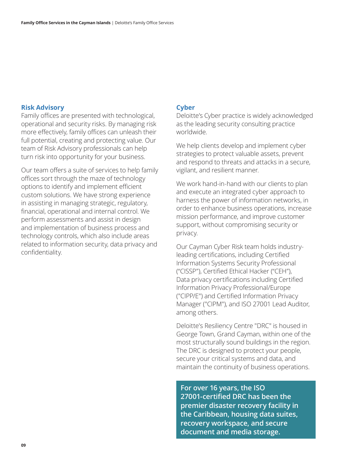#### **Risk Advisory**

Family offices are presented with technological, operational and security risks. By managing risk more effectively, family offices can unleash their full potential, creating and protecting value. Our team of Risk Advisory professionals can help turn risk into opportunity for your business.

Our team offers a suite of services to help family offices sort through the maze of technology options to identify and implement efficient custom solutions. We have strong experience in assisting in managing strategic, regulatory, financial, operational and internal control. We perform assessments and assist in design and implementation of business process and technology controls, which also include areas related to information security, data privacy and confidentiality.

#### **Cyber**

Deloitte's Cyber practice is widely acknowledged as the leading security consulting practice worldwide.

We help clients develop and implement cyber strategies to protect valuable assets, prevent and respond to threats and attacks in a secure, vigilant, and resilient manner.

We work hand-in-hand with our clients to plan and execute an integrated cyber approach to harness the power of information networks, in order to enhance business operations, increase mission performance, and improve customer support, without compromising security or privacy.

Our Cayman Cyber Risk team holds industryleading certifications, including Certified Information Systems Security Professional ("CISSP"), Certified Ethical Hacker ("CEH"), Data privacy certifications including Certified Information Privacy Professional/Europe ("CIPP/E") and Certified Information Privacy Manager ("CIPM"), and ISO 27001 Lead Auditor, among others.

Deloitte's Resiliency Centre "DRC" is housed in George Town, Grand Cayman, within one of the most structurally sound buildings in the region. The DRC is designed to protect your people, secure your critical systems and data, and maintain the continuity of business operations.

**For over 16 years, the ISO 27001-certified DRC has been the premier disaster recovery facility in the Caribbean, housing data suites, recovery workspace, and secure document and media storage.**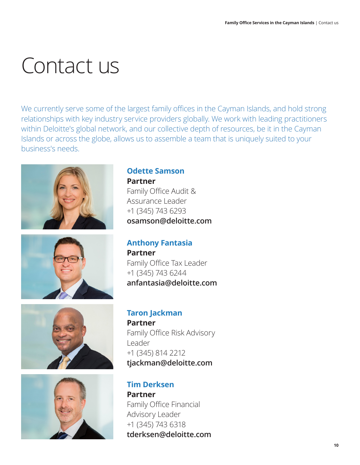# Contact us

We currently serve some of the largest family offices in the Cayman Islands, and hold strong relationships with key industry service providers globally. We work with leading practitioners within Deloitte's global network, and our collective depth of resources, be it in the Cayman Islands or across the globe, allows us to assemble a team that is uniquely suited to your business's needs.









### **Odette Samson Partner**

Family Office Audit & Assurance Leader +1 (345) 743 6293 **osamson@deloitte.com**

### **Anthony Fantasia**

**Partner** Family Office Tax Leader +1 (345) 743 6244 **anfantasia@deloitte.com**

### **Taron Jackman Partner**

Family Office Risk Advisory Leader +1 (345) 814 2212 **tjackman@deloitte.com**

**Tim Derksen Partner** Family Office Financial Advisory Leader +1 (345) 743 6318 **tderksen@deloitte.com**